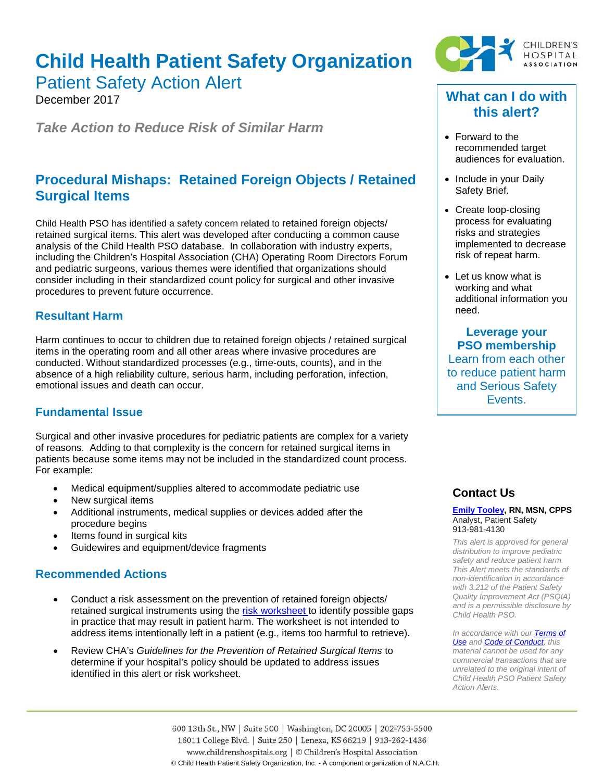# **Child Health Patient Safety Organization**

Patient Safety Action Alert

December 2017

*Take Action to Reduce Risk of Similar Harm*

# **Procedural Mishaps: Retained Foreign Objects / Retained Surgical Items**

Child Health PSO has identified a safety concern related to retained foreign objects/ retained surgical items. This alert was developed after conducting a common cause analysis of the Child Health PSO database. In collaboration with industry experts, including the Children's Hospital Association (CHA) Operating Room Directors Forum and pediatric surgeons, various themes were identified that organizations should consider including in their standardized count policy for surgical and other invasive procedures to prevent future occurrence.

#### **Resultant Harm**

Harm continues to occur to children due to retained foreign objects / retained surgical items in the operating room and all other areas where invasive procedures are conducted. Without standardized processes (e.g., time-outs, counts), and in the absence of a high reliability culture, serious harm, including perforation, infection, emotional issues and death can occur.

## **Fundamental Issue**

Surgical and other invasive procedures for pediatric patients are complex for a variety of reasons. Adding to that complexity is the concern for retained surgical items in patients because some items may not be included in the standardized count process. For example:

- Medical equipment/supplies altered to accommodate pediatric use
- New surgical items
- Additional instruments, medical supplies or devices added after the procedure begins
- Items found in surgical kits
- Guidewires and equipment/device fragments

## **Recommended Actions**

- Conduct a risk assessment on the prevention of retained foreign objects/ retained surgical instruments using the [risk worksheet](https://www.childrenshospitals.org/-/media/Files/CHA/Main/Quality_and_Performance/Patient_Safety/Alerts/2017/cha_pso_prevention_retained_foreign_objects_risk_worksheet_121417.pdf) to identify possible gaps in practice that may result in patient harm. The worksheet is not intended to address items intentionally left in a patient (e.g., items too harmful to retrieve).
- Review CHA's *Guidelines for the Prevention of Retained Surgical Items* to determine if your hospital's policy should be updated to address issues identified in this alert or risk worksheet.



# **What can I do with this alert?**

- Forward to the recommended target audiences for evaluation.
- Include in your Daily Safety Brief.
- Create loop-closing process for evaluating risks and strategies implemented to decrease risk of repeat harm.
- Let us know what is working and what additional information you need.

**Leverage your PSO membership** Learn from each other to reduce patient harm and Serious Safety Events.

## **Contact Us**

#### **[Emily Tooley,](mailto:emily.tooley@childrenshospitals.org) RN, MSN, CPPS** Analyst, Patient Safety 913-981-4130

*This alert is approved for general distribution to improve pediatric safety and reduce patient harm. This Alert meets the standards of non-identification in accordance with 3.212 of the Patient Safety Quality Improvement Act (PSQIA) and is a permissible disclosure by Child Health PSO.*

*In accordance with ou[r Terms of](https://www.childrenshospitals.org/Terms-of-Use)  [Use](https://www.childrenshospitals.org/Terms-of-Use) and [Code of Conduct,](https://www.childrenshospitals.org/Code-of-Conduct) this material cannot be used for any commercial transactions that are unrelated to the original intent of Child Health PSO Patient Safety Action Alerts.*